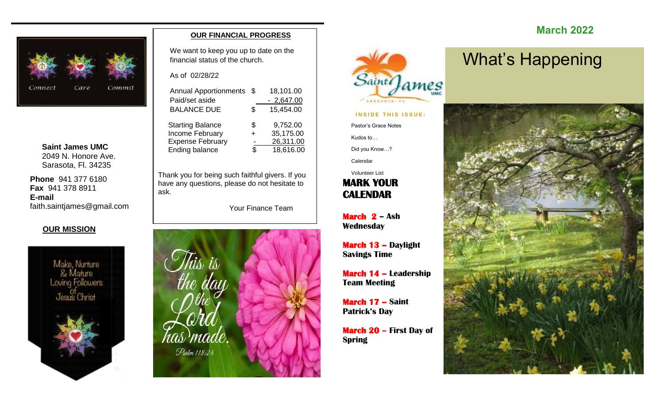

**Saint James UMC** 2049 N. Honore Ave. Sarasota, Fl. 34235

**Phone** 941 377 6180 **Fax** 941 378 8911 **E-mail** faith.saintjames@gmail.com

#### **OUR MISSION**



#### **OUR FINANCIAL PROGRESS**

We want to keep you up to date on the financial status of the church.

As of 02/28/22

| <b>Annual Apportionments</b> | \$. | 18,101.00   |
|------------------------------|-----|-------------|
| Paid/set aside               |     | $-2,647.00$ |
| <b>BALANCE DUE</b>           | \$  | 15,454.00   |
| <b>Starting Balance</b>      | \$  | 9,752.00    |
| Income February              | +   | 35,175.00   |
| <b>Expense February</b>      |     | 26,311.00   |
| Ending balance               | ደ   | 18,616.00   |
|                              |     |             |

Thank you for being such faithful givers. If you have any questions, please do not hesitate to ask.

Your Finance Team





#### **INSIDE THIS ISSUE:**

Pastor's Grace Notes

Kudos to…

Did you Know…?

Calendar

### **MARK YOUR CALENDAR**  Volunteer List

**March 2 – Ash Wednesday**

**March 13 – Daylight Savings Time**

**March 14 – Leadership Team Meeting**

**March 17 – Saint Patrick's Day**

**March 20 – First Day of Spring**

## **March 2022**

# What's Happening

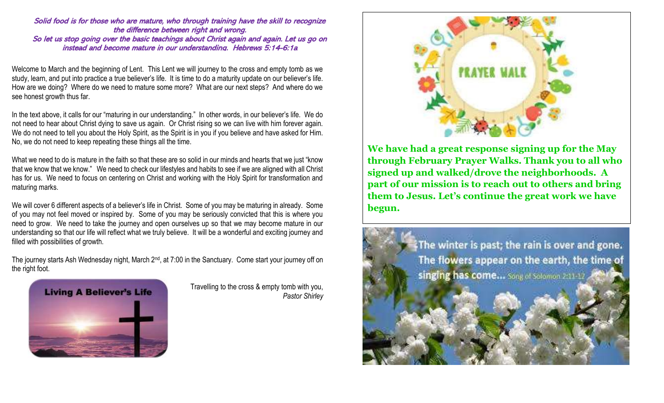#### Solid food is for those who are mature, who through training have the skill to recognize the difference between right and wrong.

So let us stop going over the basic teachings about Christ again and again. Let us go on instead and become mature in our understanding. Hebrews 5:14-6:1a

Welcome to March and the beginning of Lent. This Lent we will journey to the cross and empty tomb as we study, learn, and put into practice a true believer's life. It is time to do a maturity update on our believer's life. How are we doing? Where do we need to mature some more? What are our next steps? And where do we see honest growth thus far.

In the text above, it calls for our "maturing in our understanding." In other words, in our believer's life. We do not need to hear about Christ dying to save us again. Or Christ rising so we can live with him forever again. We do not need to tell you about the Holy Spirit, as the Spirit is in you if you believe and have asked for Him. No, we do not need to keep repeating these things all the time.

What we need to do is mature in the faith so that these are so solid in our minds and hearts that we just "know that we know that we know." We need to check our lifestyles and habits to see if we are aligned with all Christ has for us. We need to focus on centering on Christ and working with the Holy Spirit for transformation and maturing marks.

We will cover 6 different aspects of a believer's life in Christ. Some of you may be maturing in already. Some of you may not feel moved or inspired by. Some of you may be seriously convicted that this is where you need to grow. We need to take the journey and open ourselves up so that we may become mature in our understanding so that our life will reflect what we truly believe. It will be a wonderful and exciting journey and filled with possibilities of growth.

The journey starts Ash Wednesday night, March 2<sup>nd</sup>, at 7:00 in the Sanctuary. Come start your journey off on the right foot.



Travelling to the cross & empty tomb with you, *Pastor Shirley*



**We have had a great response signing up for the May through February Prayer Walks. Thank you to all who signed up and walked/drove the neighborhoods. A part of our mission is to reach out to others and bring them to Jesus. Let's continue the great work we have begun.**

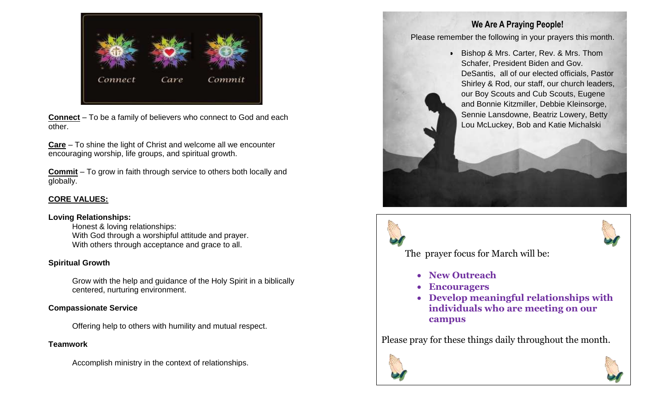

**Connect** – To be a family of believers who connect to God and each other.

**Care** – To shine the light of Christ and welcome all we encounter encouraging worship, life groups, and spiritual growth.

**Commit** – To grow in faith through service to others both locally and globally.

### **CORE VALUES:**

#### **Loving Relationships:**

Honest & loving relationships: With God through a worshipful attitude and prayer. With others through acceptance and grace to all.

#### **Spiritual Growth**

Grow with the help and guidance of the Holy Spirit in a biblically centered, nurturing environment.

### **Compassionate Service**

Offering help to others with humility and mutual respect.

### **Teamwork**

Accomplish ministry in the context of relationships.

## **We Are A Praying People!**

Please remember the following in your prayers this month.

• Bishop & Mrs. Carter, Rev. & Mrs. Thom Schafer, President Biden and Gov. DeSantis, all of our elected officials, Pastor Shirley & Rod, our staff, our church leaders, our Boy Scouts and Cub Scouts, Eugene and Bonnie Kitzmiller, Debbie Kleinsorge, Sennie Lansdowne, Beatriz Lowery, Betty Lou McLuckey, Bob and Katie Michalski





The prayer focus for March will be:

- **New Outreach**
- **Encouragers**
- **Develop meaningful relationships with individuals who are meeting on our campus**

Please pray for these things daily throughout the month.



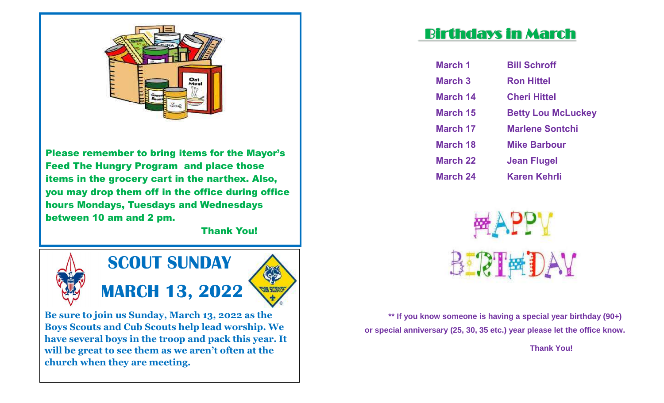

Please remember to bring items for the Mayor's Feed The Hungry Program and place those items in the grocery cart in the narthex. Also, you may drop them off in the office during office hours Mondays, Tuesdays and Wednesdays between 10 am and 2 pm.

Thank You!



**Be sure to join us Sunday, March 13, 2022 as the Boys Scouts and Cub Scouts help lead worship. We have several boys in the troop and pack this year. It will be great to see them as we aren't often at the church when they are meeting.** 

## Birthdays in March

| <b>March 1</b>  | <b>Bill Schroff</b>       |
|-----------------|---------------------------|
| <b>March 3</b>  | <b>Ron Hittel</b>         |
| <b>March 14</b> | <b>Cheri Hittel</b>       |
| <b>March 15</b> | <b>Betty Lou McLuckey</b> |
| <b>March 17</b> | <b>Marlene Sontchi</b>    |
| <b>March 18</b> | <b>Mike Barbour</b>       |
| <b>March 22</b> | Jean Flugel               |
| <b>March 24</b> | Karen Kehrli              |



**\*\* If you know someone is having a special year birthday (90+) or special anniversary (25, 30, 35 etc.) year please let the office know.** 

 **Thank You!**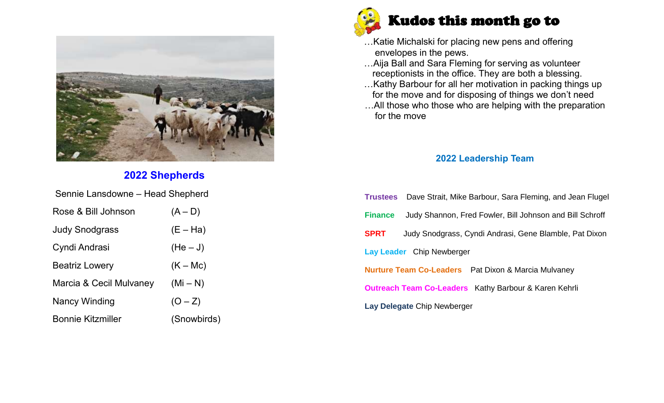

## **2022 Shepherds**

| Sennie Lansdowne – Head Shepherd |             |  |  |  |  |  |  |  |
|----------------------------------|-------------|--|--|--|--|--|--|--|
| Rose & Bill Johnson              | $(A - D)$   |  |  |  |  |  |  |  |
| <b>Judy Snodgrass</b>            | $(E - Ha)$  |  |  |  |  |  |  |  |
| Cyndi Andrasi                    | $(He-J)$    |  |  |  |  |  |  |  |
| <b>Beatriz Lowery</b>            | $(K - Mc)$  |  |  |  |  |  |  |  |
| Marcia & Cecil Mulvaney          | $(Mi-N)$    |  |  |  |  |  |  |  |
| <b>Nancy Winding</b>             | $(O - Z)$   |  |  |  |  |  |  |  |
| <b>Bonnie Kitzmiller</b>         | (Snowbirds) |  |  |  |  |  |  |  |



- …Katie Michalski for placing new pens and offering envelopes in the pews.
- …Aija Ball and Sara Fleming for serving as volunteer receptionists in the office. They are both a blessing.
- …Kathy Barbour for all her motivation in packing things up for the move and for disposing of things we don't need
- …All those who those who are helping with the preparation for the move

### **2022 Leadership Team**

| <b>Trustees</b> Dave Strait, Mike Barbour, Sara Fleming, and Jean Flugel   |  |  |  |  |  |  |  |
|----------------------------------------------------------------------------|--|--|--|--|--|--|--|
| Judy Shannon, Fred Fowler, Bill Johnson and Bill Schroff<br><b>Finance</b> |  |  |  |  |  |  |  |
| <b>SPRT</b><br>Judy Snodgrass, Cyndi Andrasi, Gene Blamble, Pat Dixon      |  |  |  |  |  |  |  |
| Lay Leader Chip Newberger                                                  |  |  |  |  |  |  |  |
| <b>Nurture Team Co-Leaders</b> Pat Dixon & Marcia Mulvaney                 |  |  |  |  |  |  |  |
| <b>Outreach Team Co-Leaders</b> Kathy Barbour & Karen Kehrli               |  |  |  |  |  |  |  |
| Lay Delegate Chip Newberger                                                |  |  |  |  |  |  |  |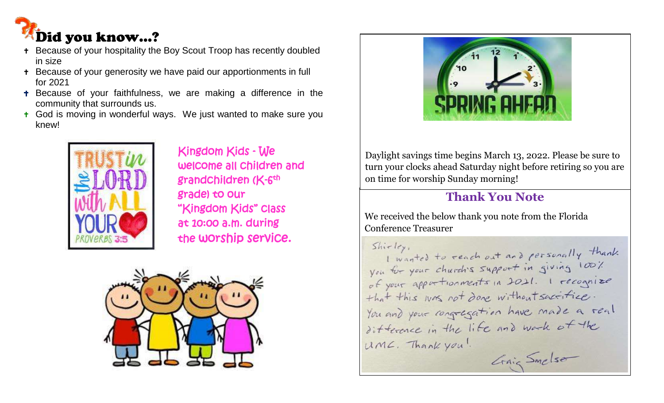

- Because of your hospitality the Boy Scout Troop has recently doubled in size
- Because of your generosity we have paid our apportionments in full for 2021
- **+** Because of your faithfulness, we are making a difference in the community that surrounds us.
- + God is moving in wonderful ways. We just wanted to make sure you knew!



 Kingdom Kids - We welcome all children and ■ 【 】 【 】 】 【 】 】 【 】 】 【 】 srandchildren (K-6<sup>th</sup> grade) to our "Kingdom Kids" class at 10:00 a.m. during the worship service.





Daylight savings time begins March 13, 2022. Please be sure to turn your clocks ahead Saturday night before retiring so you are on time for worship Sunday morning!

## **Thank You Note**

We received the below thank you note from the Florida Conference Treasurer

 $\sin c \, \log a$ I wanted to reach out and personally thank you for your church's support in giving 100% of your apportionments in 2021. I recognize that this was not done without sactifice. You and your congregation have made a real difference in the life and work of the UML. Thank you! Grain Smelser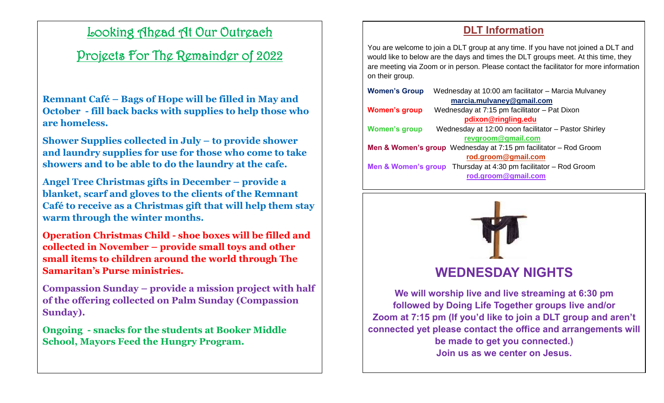## Looking Ahead At Our Outreach

## Projects For The Remainder of 2022

**Remnant Café – Bags of Hope will be filled in May and October - fill back backs with supplies to help those who are homeless.**

**Shower Supplies collected in July – to provide shower and laundry supplies for use for those who come to take showers and to be able to do the laundry at the cafe.** 

**Angel Tree Christmas gifts in December – provide a blanket, scarf and gloves to the clients of the Remnant Café to receive as a Christmas gift that will help them stay warm through the winter months.** 

**Operation Christmas Child - shoe boxes will be filled and collected in November – provide small toys and other small items to children around the world through The Samaritan's Purse ministries.** 

**Compassion Sunday – provide a mission project with half of the offering collected on Palm Sunday (Compassion Sunday).** 

**Ongoing - snacks for the students at Booker Middle School, Mayors Feed the Hungry Program.** 

## **DLT Information**

You are welcome to join a DLT group at any time. If you have not joined a DLT and would like to below are the days and times the DLT groups meet. At this time, they are meeting via Zoom or in person. Please contact the facilitator for more information on their group.

| <b>Women's Group</b>      | Wednesday at 10:00 am facilitator - Marcia Mulvaney                             |  |  |  |  |  |  |  |  |
|---------------------------|---------------------------------------------------------------------------------|--|--|--|--|--|--|--|--|
| marcia.mulvaney@gmail.com |                                                                                 |  |  |  |  |  |  |  |  |
| <b>Women's group</b>      | Wednesday at 7:15 pm facilitator - Pat Dixon                                    |  |  |  |  |  |  |  |  |
|                           | pdixon@ringling.edu                                                             |  |  |  |  |  |  |  |  |
| <b>Women's group</b>      | Wednesday at 12:00 noon facilitator - Pastor Shirley                            |  |  |  |  |  |  |  |  |
|                           | revgroom@gmail.com                                                              |  |  |  |  |  |  |  |  |
|                           | <b>Men &amp; Women's group</b> Wednesday at $7:15$ pm facilitator $-$ Rod Groom |  |  |  |  |  |  |  |  |
|                           | rod.groom@gmail.com                                                             |  |  |  |  |  |  |  |  |
|                           | <b>Men &amp; Women's group</b> Thursday at 4:30 pm facilitator $-$ Rod Groom    |  |  |  |  |  |  |  |  |
|                           | rod.groom@gmail.com                                                             |  |  |  |  |  |  |  |  |
|                           |                                                                                 |  |  |  |  |  |  |  |  |



## **WEDNESDAY NIGHTS**

**We will worship live and live streaming at 6:30 pm followed by Doing Life Together groups live and/or Zoom at 7:15 pm (If you'd like to join a DLT group and aren't connected yet please contact the office and arrangements will be made to get you connected.) Join us as we center on Jesus.**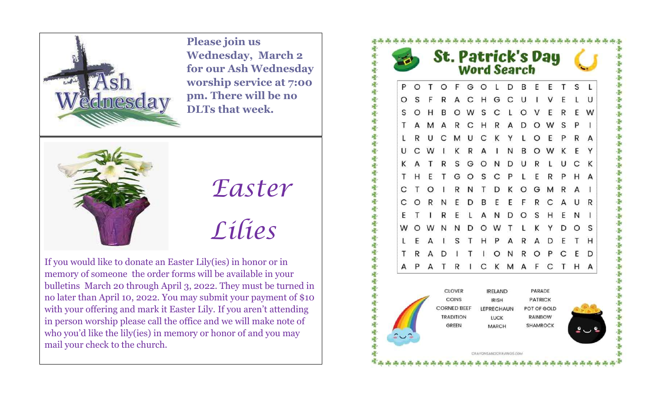

**Please join us Wednesday, March 2 for our Ash Wednesday worship service at 7:00 pm. There will be no DLTs that week.** 



*Easter Lilies*

If you would like to donate an Easter Lily(ies) in honor or in memory of someone the order forms will be available in your bulletins March 20 through April 3, 2022. They must be turned in no later than April 10, 2022. You may submit your payment of \$10 with your offering and mark it Easter Lily. If you aren't attending in person worship please call the office and we will make note of who you'd like the lily(ies) in memory or honor of and you may mail your check to the church.

**St. Patrick's Day<br>Word Search** OF GOLDBEET  $\Omega$  $T$ A C H G C U  $\vee$ S R E S B  $\Omega$ W S C L O V E R F W  $\Omega$ A M A R C H R A D O W S R U C M U C K Y L O E P R A **KRAINBOW**  $\mathsf{C}$ W K T R S G O N D U R L U C K GOSCPLERP H A T D K O G M R  $A \mid$ N T ORN D в E EFRCAUR R F. L A N D O S H E  $N<sub>1</sub>$ OWNNDOWTLKYDOS H P A R A D E S  $T$ T H **IONROPCED** R A D A P A T R I C K M A F C T H A CLOVER **IRELAND** PARADE COINS **PATRICK IRISH CORNED BEEF** LEPRECHAUN POT OF GOLD **TRADITION** RAINBOW LUCK GREEN MARCH **SHAMROCK** CRAYONSANDCRAVINGS COM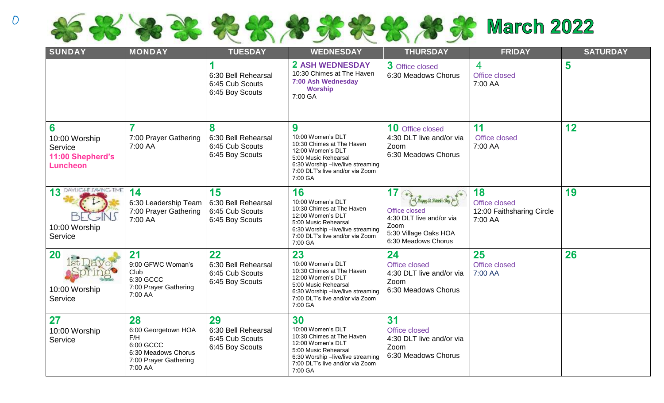

| SUNDAY                                                               | <b>MONDAY</b>                                                                                            | <b>TUESDAY</b>                                                  | <b>WEDNESDAY</b>                                                                                                                                                                     | <b>THURSDAY</b><br><b>FRIDAY</b>                                                                                                                    |                                                             | <b>SATURDAY</b> |  |
|----------------------------------------------------------------------|----------------------------------------------------------------------------------------------------------|-----------------------------------------------------------------|--------------------------------------------------------------------------------------------------------------------------------------------------------------------------------------|-----------------------------------------------------------------------------------------------------------------------------------------------------|-------------------------------------------------------------|-----------------|--|
|                                                                      |                                                                                                          | 6:30 Bell Rehearsal<br>6:45 Cub Scouts<br>6:45 Boy Scouts       | <b>2 ASH WEDNESDAY</b><br>10:30 Chimes at The Haven<br>7:00 Ash Wednesday<br><b>Worship</b><br>7:00 GA                                                                               | 3 Office closed<br>6:30 Meadows Chorus                                                                                                              | $\overline{4}$<br>Office closed<br>7:00 AA                  | 5               |  |
| 6<br>10:00 Worship<br>Service<br>11:00 Shepherd's<br><b>Luncheon</b> | 7<br>7:00 Prayer Gathering<br>7:00 AA                                                                    | 8<br>6:30 Bell Rehearsal<br>6:45 Cub Scouts<br>6:45 Boy Scouts  | 9<br>10:00 Women's DLT<br>10:30 Chimes at The Haven<br>12:00 Women's DLT<br>5:00 Music Rehearsal<br>6:30 Worship -live/live streaming<br>7:00 DLT's live and/or via Zoom<br>7:00 GA  | <b>10</b> Office closed<br>4:30 DLT live and/or via<br>Zoom<br>6:30 Meadows Chorus                                                                  | 11<br>Office closed<br>7:00 AA                              | 12              |  |
| DAYLIGHT SAVING TIME<br>13<br>10:00 Worship<br>Service               | 14<br>6:30 Leadership Team<br>7:00 Prayer Gathering<br>7:00 AA                                           | 15<br>6:30 Bell Rehearsal<br>6:45 Cub Scouts<br>6:45 Boy Scouts | 16<br>10:00 Women's DLT<br>10:30 Chimes at The Haven<br>12:00 Women's DLT<br>5:00 Music Rehearsal<br>6:30 Worship -live/live streaming<br>7:00 DLT's live and/or via Zoom<br>7:00 GA | $17 \odot$<br>Suppy St. Nature's Bay M.<br><b>Office closed</b><br>4:30 DLT live and/or via<br>Zoom<br>5:30 Village Oaks HOA<br>6:30 Meadows Chorus | 18<br>Office closed<br>12:00 Faithsharing Circle<br>7:00 AA | 19              |  |
| <b>20</b><br>10:00 Worship<br>Service                                | 21<br>9:00 GFWC Woman's<br>Club<br>6:30 GCCC<br>7:00 Prayer Gathering<br>7:00 AA                         | 22<br>6:30 Bell Rehearsal<br>6:45 Cub Scouts<br>6:45 Boy Scouts | 23<br>10:00 Women's DLT<br>10:30 Chimes at The Haven<br>12:00 Women's DLT<br>5:00 Music Rehearsal<br>6:30 Worship -live/live streaming<br>7:00 DLT's live and/or via Zoom<br>7:00 GA | 24<br><b>Office closed</b><br>4:30 DLT live and/or via<br>Zoom<br>6:30 Meadows Chorus                                                               | 25<br>Office closed<br>7:00 AA                              | 26              |  |
| 27<br>10:00 Worship<br>Service                                       | 28<br>6:00 Georgetown HOA<br>F/H<br>6:00 GCCC<br>6:30 Meadows Chorus<br>7:00 Prayer Gathering<br>7:00 AA | 29<br>6:30 Bell Rehearsal<br>6:45 Cub Scouts<br>6:45 Boy Scouts | 30<br>10:00 Women's DLT<br>10:30 Chimes at The Haven<br>12:00 Women's DLT<br>5:00 Music Rehearsal<br>6:30 Worship -live/live streaming<br>7:00 DLT's live and/or via Zoom<br>7:00 GA | 31<br>Office closed<br>4:30 DLT live and/or via<br>Zoom<br>6:30 Meadows Chorus                                                                      |                                                             |                 |  |